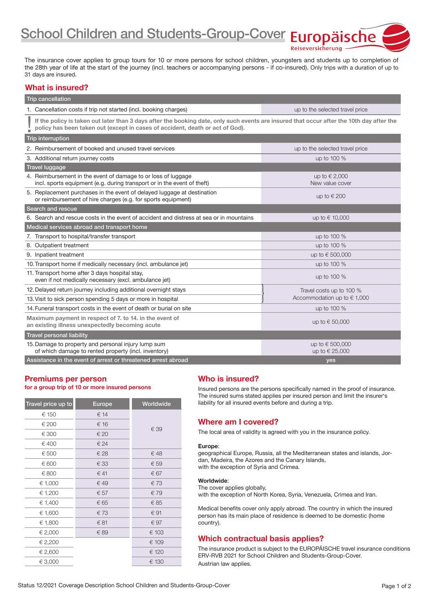School Children and Students-Group-Cover Europäische

The insurance cover applies to group tours for 10 or more persons for school children, youngsters and students up to completion of the 28th year of life at the start of the journey (incl. teachers or accompanying persons - if co-insured). Only trips with a duration of up to 31 days are insured.

#### What is insured?

| <b>Trip cancellation</b>                                                                                                                                                                                                   |                                       |  |
|----------------------------------------------------------------------------------------------------------------------------------------------------------------------------------------------------------------------------|---------------------------------------|--|
| 1. Cancellation costs if trip not started (incl. booking charges)                                                                                                                                                          | up to the selected travel price       |  |
| If the policy is taken out later than 3 days after the booking date, only such events are insured that occur after the 10th day after the<br>policy has been taken out (except in cases of accident, death or act of God). |                                       |  |
| <b>Trip interruption</b>                                                                                                                                                                                                   |                                       |  |
| 2. Reimbursement of booked and unused travel services                                                                                                                                                                      | up to the selected travel price       |  |
| 3. Additional return journey costs                                                                                                                                                                                         | up to 100 %                           |  |
| <b>Travel luggage</b>                                                                                                                                                                                                      |                                       |  |
| 4. Reimbursement in the event of damage to or loss of luggage<br>incl. sports equipment (e.g. during transport or in the event of theft)                                                                                   | up to $\in$ 2,000<br>New value cover  |  |
| 5. Replacement purchases in the event of delayed luggage at destination<br>or reimbursement of hire charges (e.g. for sports equipment)                                                                                    | up to $\in$ 200                       |  |
| Search and rescue                                                                                                                                                                                                          |                                       |  |
| 6. Search and rescue costs in the event of accident and distress at sea or in mountains                                                                                                                                    | up to € 10,000                        |  |
| Medical services abroad and transport home                                                                                                                                                                                 |                                       |  |
| 7. Transport to hospital/transfer transport                                                                                                                                                                                | up to 100 %                           |  |
| 8. Outpatient treatment                                                                                                                                                                                                    | up to 100 %                           |  |
| 9. Inpatient treatment                                                                                                                                                                                                     | up to € 500,000                       |  |
| 10. Transport home if medically necessary (incl. ambulance jet)                                                                                                                                                            | up to 100 %                           |  |
| 11. Transport home after 3 days hospital stay,<br>even if not medically necessary (excl. ambulance jet)                                                                                                                    | up to 100 %                           |  |
| 12. Delayed return journey including additional overnight stays                                                                                                                                                            | Travel costs up to 100 %              |  |
| 13. Visit to sick person spending 5 days or more in hospital                                                                                                                                                               | Accommodation up to $\in$ 1,000       |  |
| 14. Funeral transport costs in the event of death or burial on site                                                                                                                                                        | up to 100 %                           |  |
| Maximum payment in respect of 7, to 14, in the event of<br>an existing illness unexpectedly becoming acute                                                                                                                 | up to $\in$ 50,000                    |  |
| <b>Travel personal liability</b>                                                                                                                                                                                           |                                       |  |
| 15. Damage to property and personal injury lump sum<br>of which damage to rented property (incl. inventory)                                                                                                                | up to € 500,000<br>up to $\in$ 25,000 |  |
| Assistance in the event of arrest or threatened arrest abroad                                                                                                                                                              | yes                                   |  |

#### Premiums per person for a group trip of 10 or more insured persons

| Travel price up to | <b>Europe</b> | Worldwide |
|--------------------|---------------|-----------|
| € 150              | € 14          |           |
| € 200              | € 16          | € 39      |
| € 300              | € 20          |           |
| € 400              | € 24          |           |
| € 500              | € 28          | €48       |
| € 600              | € 33          | € 59      |
| € 800              | € 41          | € 67      |
| € 1,000            | € 49          | €73       |
| € 1,200            | € 57          | € 79      |
| € 1,400            | € 65          | € 85      |
| € 1,600            | €73           | € 91      |
| € 1,800            | € 81          | € 97      |
| € 2,000            | € 89          | € 103     |
| € 2,200            |               | € 109     |
| € 2,600            |               | € 120     |
| € 3,000            |               | € 130     |

## Who is insured?

Insured persons are the persons specifically named in the proof of insurance. The insured sums stated applies per insured person and limit the insurer's liability for all insured events before and during a trip.

Reiseversicherung

## Where am I covered?

The local area of validity is agreed with you in the insurance policy.

#### Europe:

geographical Europe, Russia, all the Mediterranean states and islands, Jordan, Madeira, the Azores and the Canary Islands, with the exception of Syria and Crimea.

#### Worldwide:

The cover applies globally,

with the exception of North Korea, Syria, Venezuela, Crimea and Iran.

Medical benefits cover only apply abroad. The country in which the insured person has its main place of residence is deemed to be domestic (home country).

## Which contractual basis applies?

The insurance product is subject to the EUROPÄISCHE travel insurance conditions ERV-RVB 2021 for School Children and Students-Group-Cover. Austrian law applies.